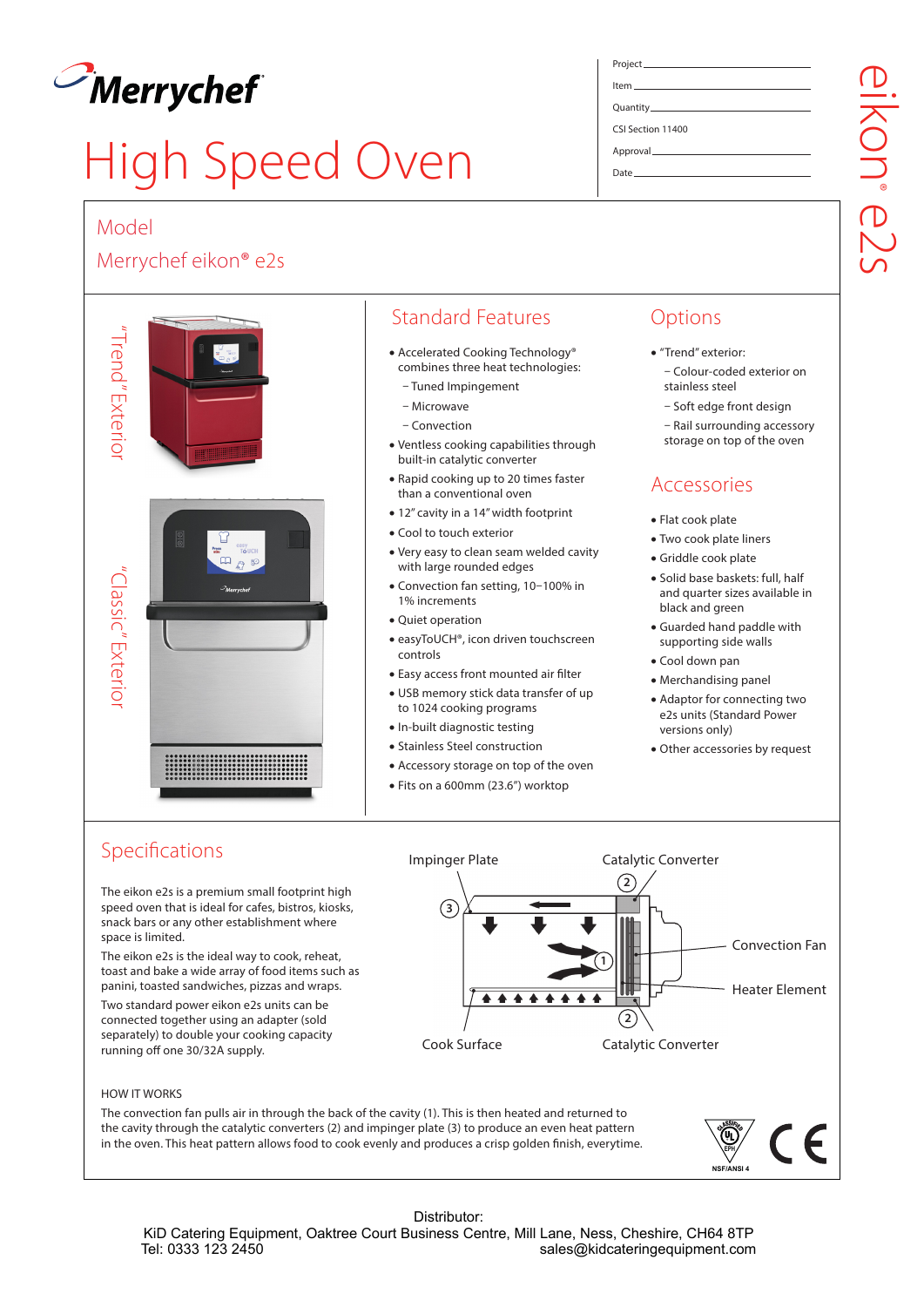

# High Speed Oven

### Model

## Merrychef eikon® e2s



# Standard Features

- Accelerated Cooking Technology® combines three heat technologies:
	- Tuned Impingement
	- Microwave
	- Convection
- Ventless cooking capabilities through built-in catalytic converter
- Rapid cooking up to 20 times faster than a conventional oven
- 12" cavity in a 14" width footprint
- Cool to touch exterior
- Very easy to clean seam welded cavity with large rounded edges
- Convection fan setting, 10–100% in 1% increments
- Quiet operation
- easyToUCH®, icon driven touchscreen controls
- Easy access front mounted air filter
- USB memory stick data transfer of up to 1024 cooking programs
- In-built diagnostic testing
- Stainless Steel construction
- Accessory storage on top of the oven
- Fits on a 600mm (23.6") worktop

# **Options**

- "Trend" exterior: – Colour-coded exterior on stainless steel
	- Soft edge front design
	- Rail surrounding accessory
	- storage on top of the oven

# Accessories

- Flat cook plate
- Two cook plate liners
- Griddle cook plate
- Solid base baskets: full, half and quarter sizes available in black and green
- Guarded hand paddle with supporting side walls
- Cool down pan
- Merchandising panel
- Adaptor for connecting two e2s units (Standard Power versions only)
- Other accessories by request

# Specifications

The eikon e2s is a premium small footprint high speed oven that is ideal for cafes, bistros, kiosks, snack bars or any other establishment where space is limited.

The eikon e2s is the ideal way to cook, reheat, toast and bake a wide array of food items such as panini, toasted sandwiches, pizzas and wraps.

Two standard power eikon e2s units can be connected together using an adapter (sold separately) to double your cooking capacity running off one 30/32A supply.



sales@kidcateringequipment.com

#### HOW IT WORKS

The convection fan pulls air in through the back of the cavity (1). This is then heated and returned to the cavity through the catalytic converters (2) and impinger plate (3) to produce an even heat pattern in the oven. This heat pattern allows food to cook evenly and produces a crisp golden finish, everytime.

Distributor: KiD Catering Equipment, Oaktree Court Business Centre, Mill Lane, Ness, Cheshire, CH64 8TP<br>sales@kidcateringequipment.com



# CSI Section 11400

eikon® e2s

ikon<br>ikon

Approval Date

Project Item Quantity